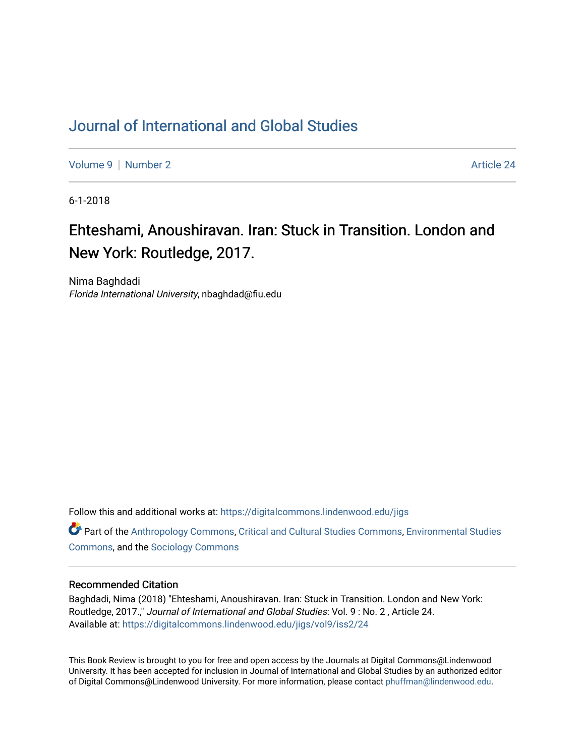## [Journal of International and Global Studies](https://digitalcommons.lindenwood.edu/jigs)

[Volume 9](https://digitalcommons.lindenwood.edu/jigs/vol9) | [Number 2](https://digitalcommons.lindenwood.edu/jigs/vol9/iss2) Article 24

6-1-2018

# Ehteshami, Anoushiravan. Iran: Stuck in Transition. London and New York: Routledge, 2017.

Nima Baghdadi Florida International University, nbaghdad@fiu.edu

Follow this and additional works at: [https://digitalcommons.lindenwood.edu/jigs](https://digitalcommons.lindenwood.edu/jigs?utm_source=digitalcommons.lindenwood.edu%2Fjigs%2Fvol9%2Fiss2%2F24&utm_medium=PDF&utm_campaign=PDFCoverPages) 

**C** Part of the [Anthropology Commons](http://network.bepress.com/hgg/discipline/318?utm_source=digitalcommons.lindenwood.edu%2Fjigs%2Fvol9%2Fiss2%2F24&utm_medium=PDF&utm_campaign=PDFCoverPages), [Critical and Cultural Studies Commons](http://network.bepress.com/hgg/discipline/328?utm_source=digitalcommons.lindenwood.edu%2Fjigs%2Fvol9%2Fiss2%2F24&utm_medium=PDF&utm_campaign=PDFCoverPages), Environmental Studies [Commons](http://network.bepress.com/hgg/discipline/1333?utm_source=digitalcommons.lindenwood.edu%2Fjigs%2Fvol9%2Fiss2%2F24&utm_medium=PDF&utm_campaign=PDFCoverPages), and the [Sociology Commons](http://network.bepress.com/hgg/discipline/416?utm_source=digitalcommons.lindenwood.edu%2Fjigs%2Fvol9%2Fiss2%2F24&utm_medium=PDF&utm_campaign=PDFCoverPages)

#### Recommended Citation

Baghdadi, Nima (2018) "Ehteshami, Anoushiravan. Iran: Stuck in Transition. London and New York: Routledge, 2017.," Journal of International and Global Studies: Vol. 9 : No. 2 , Article 24. Available at: [https://digitalcommons.lindenwood.edu/jigs/vol9/iss2/24](https://digitalcommons.lindenwood.edu/jigs/vol9/iss2/24?utm_source=digitalcommons.lindenwood.edu%2Fjigs%2Fvol9%2Fiss2%2F24&utm_medium=PDF&utm_campaign=PDFCoverPages) 

This Book Review is brought to you for free and open access by the Journals at Digital Commons@Lindenwood University. It has been accepted for inclusion in Journal of International and Global Studies by an authorized editor of Digital Commons@Lindenwood University. For more information, please contact [phuffman@lindenwood.edu](mailto:phuffman@lindenwood.edu).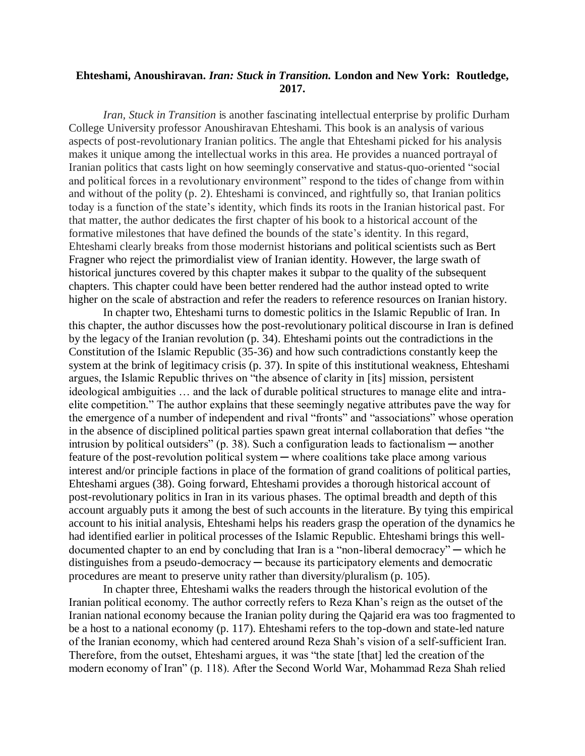### **Ehteshami, Anoushiravan.** *Iran: Stuck in Transition.* **London and New York: Routledge, 2017.**

*Iran, Stuck in Transition* is another fascinating intellectual enterprise by prolific Durham College University professor Anoushiravan Ehteshami. This book is an analysis of various aspects of post-revolutionary Iranian politics. The angle that Ehteshami picked for his analysis makes it unique among the intellectual works in this area. He provides a nuanced portrayal of Iranian politics that casts light on how seemingly conservative and status-quo-oriented "social and political forces in a revolutionary environment" respond to the tides of change from within and without of the polity (p. 2). Ehteshami is convinced, and rightfully so, that Iranian politics today is a function of the state's identity, which finds its roots in the Iranian historical past. For that matter, the author dedicates the first chapter of his book to a historical account of the formative milestones that have defined the bounds of the state's identity. In this regard, Ehteshami clearly breaks from those modernist historians and political scientists such as Bert Fragner who reject the primordialist view of Iranian identity. However, the large swath of historical junctures covered by this chapter makes it subpar to the quality of the subsequent chapters. This chapter could have been better rendered had the author instead opted to write higher on the scale of abstraction and refer the readers to reference resources on Iranian history.

In chapter two, Ehteshami turns to domestic politics in the Islamic Republic of Iran. In this chapter, the author discusses how the post-revolutionary political discourse in Iran is defined by the legacy of the Iranian revolution (p. 34). Ehteshami points out the contradictions in the Constitution of the Islamic Republic (35-36) and how such contradictions constantly keep the system at the brink of legitimacy crisis (p. 37). In spite of this institutional weakness, Ehteshami argues, the Islamic Republic thrives on "the absence of clarity in [its] mission, persistent ideological ambiguities … and the lack of durable political structures to manage elite and intraelite competition." The author explains that these seemingly negative attributes pave the way for the emergence of a number of independent and rival "fronts" and "associations" whose operation in the absence of disciplined political parties spawn great internal collaboration that defies "the intrusion by political outsiders" (p. 38). Such a configuration leads to factionalism  $-$  another feature of the post-revolution political system — where coalitions take place among various interest and/or principle factions in place of the formation of grand coalitions of political parties, Ehteshami argues (38). Going forward, Ehteshami provides a thorough historical account of post-revolutionary politics in Iran in its various phases. The optimal breadth and depth of this account arguably puts it among the best of such accounts in the literature. By tying this empirical account to his initial analysis, Ehteshami helps his readers grasp the operation of the dynamics he had identified earlier in political processes of the Islamic Republic. Ehteshami brings this welldocumented chapter to an end by concluding that Iran is a "non-liberal democracy" — which he distinguishes from a pseudo-democracy — because its participatory elements and democratic procedures are meant to preserve unity rather than diversity/pluralism (p. 105).

In chapter three, Ehteshami walks the readers through the historical evolution of the Iranian political economy. The author correctly refers to Reza Khan's reign as the outset of the Iranian national economy because the Iranian polity during the Qajarid era was too fragmented to be a host to a national economy (p. 117). Ehteshami refers to the top-down and state-led nature of the Iranian economy, which had centered around Reza Shah's vision of a self-sufficient Iran. Therefore, from the outset, Ehteshami argues, it was "the state [that] led the creation of the modern economy of Iran" (p. 118). After the Second World War, Mohammad Reza Shah relied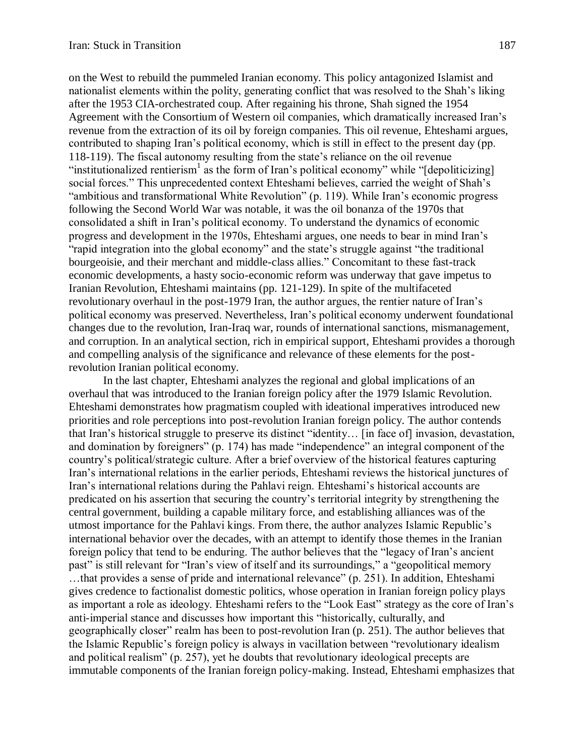on the West to rebuild the pummeled Iranian economy. This policy antagonized Islamist and nationalist elements within the polity, generating conflict that was resolved to the Shah's liking after the 1953 CIA-orchestrated coup. After regaining his throne, Shah signed the 1954 Agreement with the Consortium of Western oil companies, which dramatically increased Iran's revenue from the extraction of its oil by foreign companies. This oil revenue, Ehteshami argues, contributed to shaping Iran's political economy, which is still in effect to the present day (pp. 118-119). The fiscal autonomy resulting from the state's reliance on the oil revenue "institutionalized rentierism<sup>1</sup> as the form of Iran's political economy" while "[depoliticizing] social forces." This unprecedented context Ehteshami believes, carried the weight of Shah's "ambitious and transformational White Revolution" (p. 119). While Iran's economic progress following the Second World War was notable, it was the oil bonanza of the 1970s that consolidated a shift in Iran's political economy. To understand the dynamics of economic progress and development in the 1970s, Ehteshami argues, one needs to bear in mind Iran's "rapid integration into the global economy" and the state's struggle against "the traditional bourgeoisie, and their merchant and middle-class allies." Concomitant to these fast-track economic developments, a hasty socio-economic reform was underway that gave impetus to Iranian Revolution, Ehteshami maintains (pp. 121-129). In spite of the multifaceted revolutionary overhaul in the post-1979 Iran, the author argues, the rentier nature of Iran's political economy was preserved. Nevertheless, Iran's political economy underwent foundational changes due to the revolution, Iran-Iraq war, rounds of international sanctions, mismanagement, and corruption. In an analytical section, rich in empirical support, Ehteshami provides a thorough and compelling analysis of the significance and relevance of these elements for the postrevolution Iranian political economy.

In the last chapter, Ehteshami analyzes the regional and global implications of an overhaul that was introduced to the Iranian foreign policy after the 1979 Islamic Revolution. Ehteshami demonstrates how pragmatism coupled with ideational imperatives introduced new priorities and role perceptions into post-revolution Iranian foreign policy. The author contends that Iran's historical struggle to preserve its distinct "identity… [in face of] invasion, devastation, and domination by foreigners" (p. 174) has made "independence" an integral component of the country's political/strategic culture. After a brief overview of the historical features capturing Iran's international relations in the earlier periods, Ehteshami reviews the historical junctures of Iran's international relations during the Pahlavi reign. Ehteshami's historical accounts are predicated on his assertion that securing the country's territorial integrity by strengthening the central government, building a capable military force, and establishing alliances was of the utmost importance for the Pahlavi kings. From there, the author analyzes Islamic Republic's international behavior over the decades, with an attempt to identify those themes in the Iranian foreign policy that tend to be enduring. The author believes that the "legacy of Iran's ancient past" is still relevant for "Iran's view of itself and its surroundings," a "geopolitical memory …that provides a sense of pride and international relevance" (p. 251). In addition, Ehteshami gives credence to factionalist domestic politics, whose operation in Iranian foreign policy plays as important a role as ideology. Ehteshami refers to the "Look East" strategy as the core of Iran's anti-imperial stance and discusses how important this "historically, culturally, and geographically closer" realm has been to post-revolution Iran (p. 251). The author believes that the Islamic Republic's foreign policy is always in vacillation between "revolutionary idealism and political realism" (p. 257), yet he doubts that revolutionary ideological precepts are immutable components of the Iranian foreign policy-making. Instead, Ehteshami emphasizes that